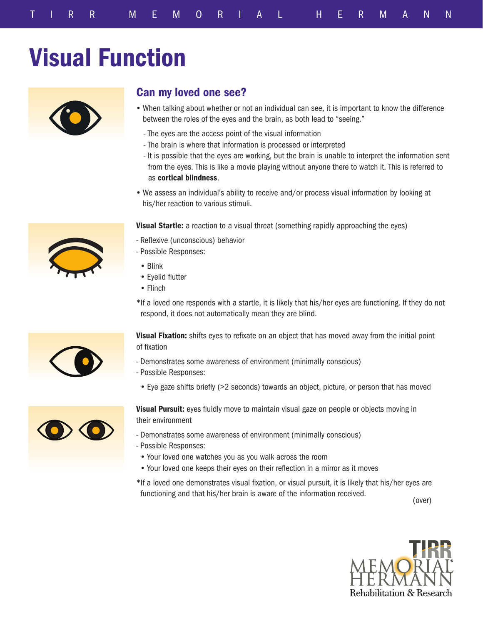## Visual Function



## Can my loved one see?

- When talking about whether or not an individual can see, it is important to know the difference between the roles of the eyes and the brain, as both lead to "seeing."
	- The eyes are the access point of the visual information
	- The brain is where that information is processed or interpreted
- It is possible that the eyes are working, but the brain is unable to interpret the information sent from the eyes. This is like a movie playing without anyone there to watch it. This is referred to as cortical blindness.
- We assess an individual's ability to receive and/or process visual information by looking at his/her reaction to various stimuli.

Visual Startle: a reaction to a visual threat (something rapidly approaching the eyes)

- Reflexive (unconscious) behavior
- Possible Responses:
	- Blink
	- Eyelid flutter
	- Flinch

\*If a loved one responds with a startle, it is likely that his/her eyes are functioning. If they do not respond, it does not automatically mean they are blind.

Visual Fixation: shifts eyes to refixate on an object that has moved away from the initial point of fixation

- Demonstrates some awareness of environment (minimally conscious)
- Possible Responses:
	- Eye gaze shifts briefly (>2 seconds) towards an object, picture, or person that has moved



Visual Pursuit: eyes fluidly move to maintain visual gaze on people or objects moving in their environment

- Demonstrates some awareness of environment (minimally conscious)
- Possible Responses:
	- Your loved one watches you as you walk across the room
	- Your loved one keeps their eyes on their reflection in a mirror as it moves
- \*If a loved one demonstrates visual fixation, or visual pursuit, it is likely that his/her eyes are functioning and that his/her brain is aware of the information received.

(over)